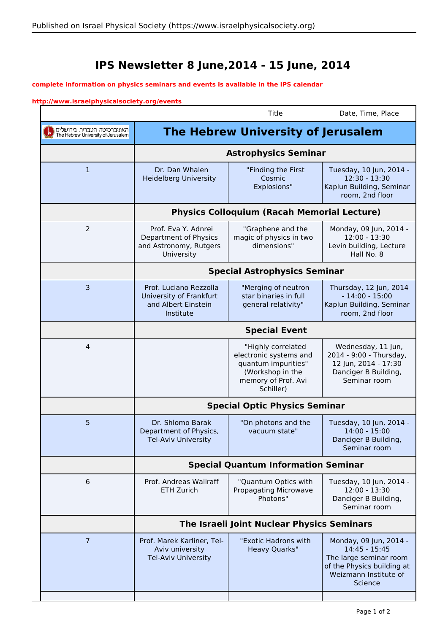## **IPS Newsletter 8 June,2014 - 15 June, 2014**

## **complete information on physics seminars and events is available in the IPS calendar**

## **http://www.israelphysicalsociety.org/events**

 $\overline{\phantom{a}}$ 

|                                                                   |                                                                                       | Title                                                                                                                       | Date, Time, Place                                                                                                                   |  |
|-------------------------------------------------------------------|---------------------------------------------------------------------------------------|-----------------------------------------------------------------------------------------------------------------------------|-------------------------------------------------------------------------------------------------------------------------------------|--|
| האוניברסיטה העברית בירושלים<br>The Hebrew University of Jerusalem |                                                                                       | <b>The Hebrew University of Jerusalem</b>                                                                                   |                                                                                                                                     |  |
|                                                                   | <b>Astrophysics Seminar</b>                                                           |                                                                                                                             |                                                                                                                                     |  |
| $\mathbf{1}$                                                      | Dr. Dan Whalen<br><b>Heidelberg University</b>                                        | "Finding the First<br>Cosmic<br>Explosions"                                                                                 | Tuesday, 10 Jun, 2014 -<br>12:30 - 13:30<br>Kaplun Building, Seminar<br>room, 2nd floor                                             |  |
|                                                                   | <b>Physics Colloquium (Racah Memorial Lecture)</b>                                    |                                                                                                                             |                                                                                                                                     |  |
| 2                                                                 | Prof. Eva Y. Adnrei<br>Department of Physics<br>and Astronomy, Rutgers<br>University  | "Graphene and the<br>magic of physics in two<br>dimensions"                                                                 | Monday, 09 Jun, 2014 -<br>12:00 - 13:30<br>Levin building, Lecture<br>Hall No. 8                                                    |  |
|                                                                   | <b>Special Astrophysics Seminar</b>                                                   |                                                                                                                             |                                                                                                                                     |  |
| 3                                                                 | Prof. Luciano Rezzolla<br>University of Frankfurt<br>and Albert Einstein<br>Institute | "Merging of neutron<br>star binaries in full<br>general relativity"                                                         | Thursday, 12 Jun, 2014<br>$-14:00 - 15:00$<br>Kaplun Building, Seminar<br>room, 2nd floor                                           |  |
|                                                                   | <b>Special Event</b>                                                                  |                                                                                                                             |                                                                                                                                     |  |
| 4                                                                 |                                                                                       | "Highly correlated<br>electronic systems and<br>quantum impurities"<br>(Workshop in the<br>memory of Prof. Avi<br>Schiller) | Wednesday, 11 Jun,<br>2014 - 9:00 - Thursday,<br>12 Jun, 2014 - 17:30<br>Danciger B Building,<br>Seminar room                       |  |
|                                                                   | <b>Special Optic Physics Seminar</b>                                                  |                                                                                                                             |                                                                                                                                     |  |
| 5                                                                 | Dr. Shlomo Barak<br>Department of Physics,<br><b>Tel-Aviv University</b>              | "On photons and the<br>vacuum state"                                                                                        | Tuesday, 10 Jun, 2014 -<br>$14:00 - 15:00$<br>Danciger B Building,<br>Seminar room                                                  |  |
|                                                                   | <b>Special Quantum Information Seminar</b>                                            |                                                                                                                             |                                                                                                                                     |  |
| 6                                                                 | Prof. Andreas Wallraff<br>ETH Zurich                                                  | "Quantum Optics with<br>Propagating Microwave<br>Photons"                                                                   | Tuesday, 10 Jun, 2014 -<br>$12:00 - 13:30$<br>Danciger B Building,<br>Seminar room                                                  |  |
|                                                                   | The Israeli Joint Nuclear Physics Seminars                                            |                                                                                                                             |                                                                                                                                     |  |
| $\overline{7}$                                                    | Prof. Marek Karliner, Tel-<br>Aviv university<br><b>Tel-Aviv University</b>           | "Exotic Hadrons with<br><b>Heavy Quarks"</b>                                                                                | Monday, 09 Jun, 2014 -<br>14:45 - 15:45<br>The large seminar room<br>of the Physics building at<br>Weizmann Institute of<br>Science |  |
|                                                                   |                                                                                       |                                                                                                                             |                                                                                                                                     |  |

E